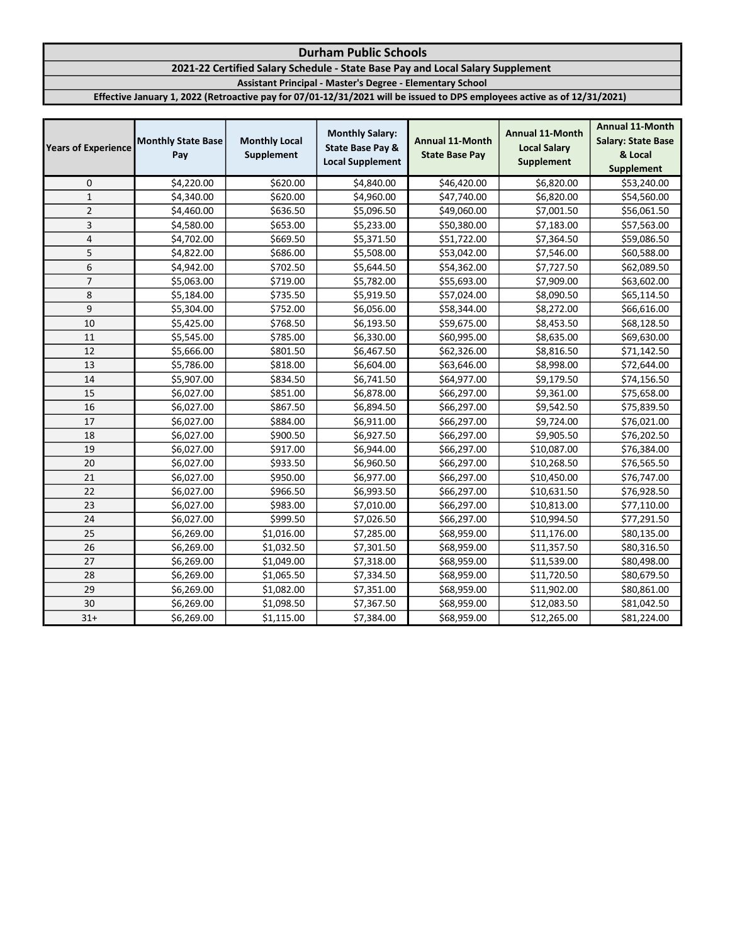# 2021-22 Certified Salary Schedule - State Base Pay and Local Salary Supplement

Assistant Principal - Master's Degree - Elementary School

| <b>Years of Experience</b> | <b>Monthly State Base</b><br>Pay | <b>Monthly Local</b><br>Supplement | <b>Monthly Salary:</b><br><b>State Base Pay &amp;</b><br><b>Local Supplement</b> | <b>Annual 11-Month</b><br><b>State Base Pay</b> | <b>Annual 11-Month</b><br><b>Local Salary</b><br><b>Supplement</b> | <b>Annual 11-Month</b><br><b>Salary: State Base</b><br>& Local<br><b>Supplement</b> |
|----------------------------|----------------------------------|------------------------------------|----------------------------------------------------------------------------------|-------------------------------------------------|--------------------------------------------------------------------|-------------------------------------------------------------------------------------|
| 0                          | \$4,220.00                       | \$620.00                           | \$4,840.00                                                                       | \$46,420.00                                     | \$6,820.00                                                         | \$53,240.00                                                                         |
| $\mathbf{1}$               | \$4,340.00                       | \$620.00                           | \$4,960.00                                                                       | \$47,740.00                                     | \$6,820.00                                                         | \$54,560.00                                                                         |
| $\overline{2}$             | \$4,460.00                       | \$636.50                           | \$5,096.50                                                                       | \$49,060.00                                     | \$7,001.50                                                         | \$56,061.50                                                                         |
| 3                          | \$4,580.00                       | \$653.00                           | \$5,233.00                                                                       | \$50,380.00                                     | \$7,183.00                                                         | \$57,563.00                                                                         |
| $\pmb{4}$                  | \$4,702.00                       | \$669.50                           | \$5,371.50                                                                       | \$51,722.00                                     | \$7,364.50                                                         | \$59,086.50                                                                         |
| 5                          | \$4,822.00                       | \$686.00                           | \$5,508.00                                                                       | \$53,042.00                                     | \$7,546.00                                                         | \$60,588.00                                                                         |
| 6                          | \$4,942.00                       | \$702.50                           | \$5,644.50                                                                       | \$54,362.00                                     | \$7,727.50                                                         | \$62,089.50                                                                         |
| $\overline{7}$             | \$5,063.00                       | \$719.00                           | \$5,782.00                                                                       | \$55,693.00                                     | \$7,909.00                                                         | \$63,602.00                                                                         |
| 8                          | \$5,184.00                       | \$735.50                           | \$5,919.50                                                                       | \$57,024.00                                     | \$8,090.50                                                         | \$65,114.50                                                                         |
| 9                          | \$5,304.00                       | \$752.00                           | \$6,056.00                                                                       | \$58,344.00                                     | \$8,272.00                                                         | \$66,616.00                                                                         |
| 10                         | \$5,425.00                       | \$768.50                           | \$6,193.50                                                                       | \$59,675.00                                     | \$8,453.50                                                         | \$68,128.50                                                                         |
| 11                         | \$5,545.00                       | \$785.00                           | \$6,330.00                                                                       | \$60,995.00                                     | \$8,635.00                                                         | \$69,630.00                                                                         |
| 12                         | \$5,666.00                       | \$801.50                           | \$6,467.50                                                                       | \$62,326.00                                     | \$8,816.50                                                         | \$71,142.50                                                                         |
| 13                         | \$5,786.00                       | \$818.00                           | \$6,604.00                                                                       | \$63,646.00                                     | \$8,998.00                                                         | \$72,644.00                                                                         |
| 14                         | \$5,907.00                       | \$834.50                           | \$6,741.50                                                                       | \$64,977.00                                     | \$9,179.50                                                         | \$74,156.50                                                                         |
| 15                         | \$6,027.00                       | \$851.00                           | \$6,878.00                                                                       | \$66,297.00                                     | \$9,361.00                                                         | \$75,658.00                                                                         |
| 16                         | \$6,027.00                       | \$867.50                           | \$6,894.50                                                                       | \$66,297.00                                     | \$9,542.50                                                         | \$75,839.50                                                                         |
| 17                         | \$6,027.00                       | \$884.00                           | \$6,911.00                                                                       | \$66,297.00                                     | \$9,724.00                                                         | \$76,021.00                                                                         |
| 18                         | \$6,027.00                       | \$900.50                           | \$6,927.50                                                                       | \$66,297.00                                     | \$9,905.50                                                         | \$76,202.50                                                                         |
| 19                         | \$6,027.00                       | \$917.00                           | \$6,944.00                                                                       | \$66,297.00                                     | \$10,087.00                                                        | \$76,384.00                                                                         |
| 20                         | \$6,027.00                       | \$933.50                           | \$6,960.50                                                                       | \$66,297.00                                     | \$10,268.50                                                        | \$76,565.50                                                                         |
| 21                         | \$6,027.00                       | \$950.00                           | \$6,977.00                                                                       | \$66,297.00                                     | \$10,450.00                                                        | \$76,747.00                                                                         |
| 22                         | \$6,027.00                       | \$966.50                           | \$6,993.50                                                                       | \$66,297.00                                     | \$10,631.50                                                        | \$76,928.50                                                                         |
| 23                         | \$6,027.00                       | \$983.00                           | \$7,010.00                                                                       | \$66,297.00                                     | \$10,813.00                                                        | \$77,110.00                                                                         |
| 24                         | \$6,027.00                       | \$999.50                           | \$7,026.50                                                                       | \$66,297.00                                     | \$10,994.50                                                        | \$77,291.50                                                                         |
| 25                         | \$6,269.00                       | \$1,016.00                         | \$7,285.00                                                                       | \$68,959.00                                     | \$11,176.00                                                        | \$80,135.00                                                                         |
| 26                         | \$6,269.00                       | \$1,032.50                         | \$7,301.50                                                                       | \$68,959.00                                     | \$11,357.50                                                        | \$80,316.50                                                                         |
| 27                         | \$6,269.00                       | \$1,049.00                         | \$7,318.00                                                                       | \$68,959.00                                     | \$11,539.00                                                        | \$80,498.00                                                                         |
| 28                         | \$6,269.00                       | \$1,065.50                         | \$7,334.50                                                                       | \$68,959.00                                     | \$11,720.50                                                        | \$80,679.50                                                                         |
| 29                         | \$6,269.00                       | \$1,082.00                         | \$7,351.00                                                                       | \$68,959.00                                     | \$11,902.00                                                        | \$80,861.00                                                                         |
| 30                         | \$6,269.00                       | \$1,098.50                         | \$7,367.50                                                                       | \$68,959.00                                     | \$12,083.50                                                        | \$81,042.50                                                                         |
| $31+$                      | \$6,269.00                       | \$1,115.00                         | \$7,384.00                                                                       | \$68,959.00                                     | \$12,265.00                                                        | \$81,224.00                                                                         |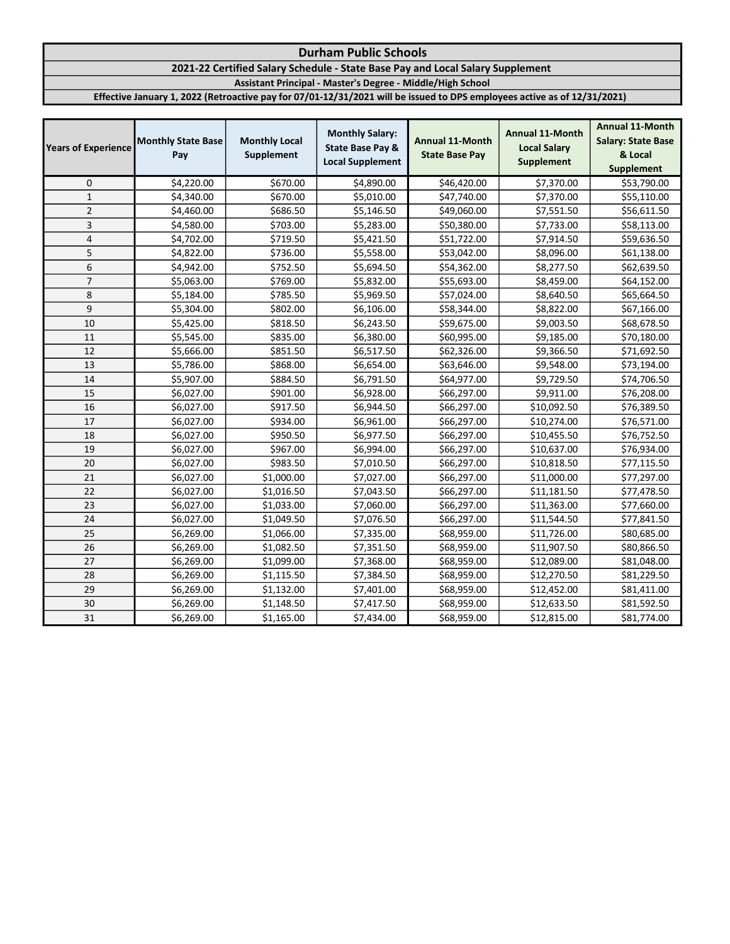# 2021-22 Certified Salary Schedule - State Base Pay and Local Salary Supplement

Assistant Principal - Master's Degree - Middle/High School

| <b>Years of Experience</b> | <b>Monthly State Base</b><br>Pay | <b>Monthly Local</b><br>Supplement | <b>Monthly Salary:</b><br><b>State Base Pay &amp;</b><br><b>Local Supplement</b> | <b>Annual 11-Month</b><br><b>State Base Pay</b> | <b>Annual 11-Month</b><br><b>Local Salary</b><br><b>Supplement</b> | <b>Annual 11-Month</b><br><b>Salary: State Base</b><br>& Local<br><b>Supplement</b> |
|----------------------------|----------------------------------|------------------------------------|----------------------------------------------------------------------------------|-------------------------------------------------|--------------------------------------------------------------------|-------------------------------------------------------------------------------------|
| 0                          | \$4,220.00                       | \$670.00                           | \$4,890.00                                                                       | \$46,420.00                                     | \$7,370.00                                                         | \$53,790.00                                                                         |
| $\mathbf 1$                | \$4,340.00                       | \$670.00                           | \$5,010.00                                                                       | \$47,740.00                                     | \$7,370.00                                                         | \$55,110.00                                                                         |
| $\overline{2}$             | \$4,460.00                       | \$686.50                           | \$5,146.50                                                                       | \$49,060.00                                     | \$7,551.50                                                         | \$56,611.50                                                                         |
| 3                          | \$4,580.00                       | \$703.00                           | \$5,283.00                                                                       | \$50,380.00                                     | \$7,733.00                                                         | \$58,113.00                                                                         |
| $\overline{4}$             | \$4,702.00                       | \$719.50                           | \$5,421.50                                                                       | \$51,722.00                                     | \$7,914.50                                                         | \$59,636.50                                                                         |
| 5                          | \$4,822.00                       | \$736.00                           | \$5,558.00                                                                       | \$53,042.00                                     | \$8,096.00                                                         | \$61,138.00                                                                         |
| 6                          | \$4,942.00                       | \$752.50                           | \$5,694.50                                                                       | \$54,362.00                                     | \$8,277.50                                                         | \$62,639.50                                                                         |
| $\overline{7}$             | \$5,063.00                       | \$769.00                           | \$5,832.00                                                                       | \$55,693.00                                     | \$8,459.00                                                         | \$64,152.00                                                                         |
| 8                          | \$5,184.00                       | \$785.50                           | \$5,969.50                                                                       | \$57,024.00                                     | \$8,640.50                                                         | \$65,664.50                                                                         |
| 9                          | \$5,304.00                       | \$802.00                           | \$6,106.00                                                                       | \$58,344.00                                     | \$8,822.00                                                         | \$67,166.00                                                                         |
| 10                         | \$5,425.00                       | \$818.50                           | \$6,243.50                                                                       | \$59,675.00                                     | \$9,003.50                                                         | \$68,678.50                                                                         |
| 11                         | \$5,545.00                       | \$835.00                           | \$6,380.00                                                                       | \$60,995.00                                     | \$9,185.00                                                         | \$70,180.00                                                                         |
| 12                         | \$5,666.00                       | \$851.50                           | \$6,517.50                                                                       | \$62,326.00                                     | \$9,366.50                                                         | \$71,692.50                                                                         |
| 13                         | \$5,786.00                       | \$868.00                           | \$6,654.00                                                                       | \$63,646.00                                     | \$9,548.00                                                         | \$73,194.00                                                                         |
| 14                         | \$5,907.00                       | \$884.50                           | \$6,791.50                                                                       | \$64,977.00                                     | \$9,729.50                                                         | \$74,706.50                                                                         |
| 15                         | \$6,027.00                       | \$901.00                           | \$6,928.00                                                                       | \$66,297.00                                     | \$9,911.00                                                         | \$76,208.00                                                                         |
| 16                         | \$6,027.00                       | \$917.50                           | \$6,944.50                                                                       | \$66,297.00                                     | \$10,092.50                                                        | \$76,389.50                                                                         |
| 17                         | \$6,027.00                       | \$934.00                           | \$6,961.00                                                                       | \$66,297.00                                     | \$10,274.00                                                        | \$76,571.00                                                                         |
| 18                         | \$6,027.00                       | \$950.50                           | \$6,977.50                                                                       | \$66,297.00                                     | \$10,455.50                                                        | \$76,752.50                                                                         |
| 19                         | \$6,027.00                       | \$967.00                           | \$6,994.00                                                                       | \$66,297.00                                     | \$10,637.00                                                        | \$76,934.00                                                                         |
| 20                         | \$6,027.00                       | \$983.50                           | \$7,010.50                                                                       | \$66,297.00                                     | \$10,818.50                                                        | \$77,115.50                                                                         |
| 21                         | \$6,027.00                       | \$1,000.00                         | \$7,027.00                                                                       | \$66,297.00                                     | \$11,000.00                                                        | \$77,297.00                                                                         |
| 22                         | \$6,027.00                       | \$1,016.50                         | \$7,043.50                                                                       | \$66,297.00                                     | \$11,181.50                                                        | \$77,478.50                                                                         |
| 23                         | \$6,027.00                       | \$1,033.00                         | \$7,060.00                                                                       | \$66,297.00                                     | \$11,363.00                                                        | \$77,660.00                                                                         |
| 24                         | \$6,027.00                       | \$1,049.50                         | \$7,076.50                                                                       | \$66,297.00                                     | \$11,544.50                                                        | \$77,841.50                                                                         |
| 25                         | \$6,269.00                       | \$1,066.00                         | \$7,335.00                                                                       | \$68,959.00                                     | \$11,726.00                                                        | \$80,685.00                                                                         |
| 26                         | \$6,269.00                       | \$1,082.50                         | \$7,351.50                                                                       | \$68,959.00                                     | \$11,907.50                                                        | \$80,866.50                                                                         |
| 27                         | \$6,269.00                       | \$1,099.00                         | \$7,368.00                                                                       | \$68,959.00                                     | \$12,089.00                                                        | \$81,048.00                                                                         |
| 28                         | \$6,269.00                       | \$1,115.50                         | \$7,384.50                                                                       | \$68,959.00                                     | \$12,270.50                                                        | \$81,229.50                                                                         |
| 29                         | \$6,269.00                       | \$1,132.00                         | \$7,401.00                                                                       | \$68,959.00                                     | \$12,452.00                                                        | \$81,411.00                                                                         |
| 30                         | \$6,269.00                       | \$1,148.50                         | \$7,417.50                                                                       | \$68,959.00                                     | \$12,633.50                                                        | \$81,592.50                                                                         |
| 31                         | \$6,269.00                       | \$1,165.00                         | \$7,434.00                                                                       | \$68,959.00                                     | \$12,815.00                                                        | \$81,774.00                                                                         |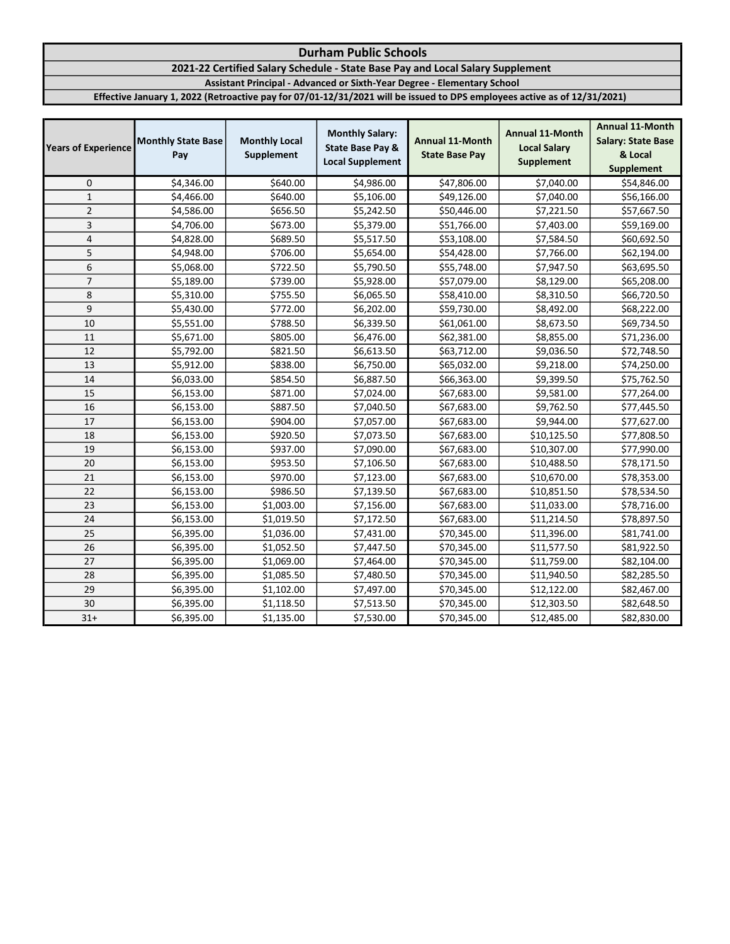#### Durham Public Schools 2021-22 Certified Salary Schedule - State Base Pay and Local Salary Supplement Assistant Principal - Advanced or Sixth-Year Degree - Elementary School Effective January 1, 2022 (Retroactive pay for 07/01-12/31/2021 will be issued to DPS employees active as of 12/31/2021)

| <b>Years of Experience</b> | <b>Monthly State Base</b><br>Pay | <b>Monthly Local</b><br>Supplement | <b>Monthly Salary:</b><br><b>State Base Pay &amp;</b><br><b>Local Supplement</b> | <b>Annual 11-Month</b><br><b>State Base Pay</b> | <b>Annual 11-Month</b><br><b>Local Salary</b><br><b>Supplement</b> | <b>Annual 11-Month</b><br><b>Salary: State Base</b><br>& Local<br><b>Supplement</b> |
|----------------------------|----------------------------------|------------------------------------|----------------------------------------------------------------------------------|-------------------------------------------------|--------------------------------------------------------------------|-------------------------------------------------------------------------------------|
| 0                          | \$4,346.00                       | \$640.00                           | \$4,986.00                                                                       | \$47,806.00                                     | \$7,040.00                                                         | \$54,846.00                                                                         |
| $1\,$                      | \$4,466.00                       | \$640.00                           | \$5,106.00                                                                       | \$49,126.00                                     | \$7,040.00                                                         | \$56,166.00                                                                         |
| $\mathbf 2$                | \$4,586.00                       | \$656.50                           | \$5,242.50                                                                       | \$50,446.00                                     | \$7,221.50                                                         | \$57,667.50                                                                         |
| 3                          | \$4,706.00                       | \$673.00                           | \$5,379.00                                                                       | \$51,766.00                                     | \$7,403.00                                                         | \$59,169.00                                                                         |
| 4                          | \$4,828.00                       | \$689.50                           | \$5,517.50                                                                       | \$53,108.00                                     | \$7,584.50                                                         | \$60,692.50                                                                         |
| 5                          | \$4,948.00                       | \$706.00                           | \$5,654.00                                                                       | \$54,428.00                                     | \$7,766.00                                                         | \$62,194.00                                                                         |
| 6                          | \$5,068.00                       | \$722.50                           | \$5,790.50                                                                       | \$55,748.00                                     | \$7,947.50                                                         | \$63,695.50                                                                         |
| $\overline{7}$             | \$5,189.00                       | \$739.00                           | \$5,928.00                                                                       | \$57,079.00                                     | \$8,129.00                                                         | \$65,208.00                                                                         |
| 8                          | \$5,310.00                       | \$755.50                           | \$6,065.50                                                                       | \$58,410.00                                     | \$8,310.50                                                         | \$66,720.50                                                                         |
| 9                          | \$5,430.00                       | \$772.00                           | \$6,202.00                                                                       | \$59,730.00                                     | \$8,492.00                                                         | \$68,222.00                                                                         |
| 10                         | \$5,551.00                       | \$788.50                           | \$6,339.50                                                                       | \$61,061.00                                     | \$8,673.50                                                         | \$69,734.50                                                                         |
| 11                         | \$5,671.00                       | \$805.00                           | \$6,476.00                                                                       | \$62,381.00                                     | \$8,855.00                                                         | \$71,236.00                                                                         |
| 12                         | \$5,792.00                       | \$821.50                           | \$6,613.50                                                                       | \$63,712.00                                     | \$9,036.50                                                         | \$72,748.50                                                                         |
| 13                         | \$5,912.00                       | \$838.00                           | \$6,750.00                                                                       | \$65,032.00                                     | \$9,218.00                                                         | \$74,250.00                                                                         |
| 14                         | \$6,033.00                       | \$854.50                           | \$6,887.50                                                                       | \$66,363.00                                     | \$9,399.50                                                         | \$75,762.50                                                                         |
| 15                         | \$6,153.00                       | \$871.00                           | \$7,024.00                                                                       | \$67,683.00                                     | \$9,581.00                                                         | \$77,264.00                                                                         |
| 16                         | \$6,153.00                       | \$887.50                           | \$7,040.50                                                                       | \$67,683.00                                     | \$9,762.50                                                         | \$77,445.50                                                                         |
| 17                         | \$6,153.00                       | \$904.00                           | \$7,057.00                                                                       | \$67,683.00                                     | \$9,944.00                                                         | \$77,627.00                                                                         |
| 18                         | \$6,153.00                       | \$920.50                           | \$7,073.50                                                                       | \$67,683.00                                     | \$10,125.50                                                        | \$77,808.50                                                                         |
| 19                         | \$6,153.00                       | \$937.00                           | \$7,090.00                                                                       | \$67,683.00                                     | \$10,307.00                                                        | \$77,990.00                                                                         |
| 20                         | \$6,153.00                       | \$953.50                           | \$7,106.50                                                                       | \$67,683.00                                     | \$10,488.50                                                        | \$78,171.50                                                                         |
| 21                         | \$6,153.00                       | \$970.00                           | \$7,123.00                                                                       | \$67,683.00                                     | \$10,670.00                                                        | \$78,353.00                                                                         |
| 22                         | \$6,153.00                       | \$986.50                           | \$7,139.50                                                                       | \$67,683.00                                     | \$10,851.50                                                        | \$78,534.50                                                                         |
| 23                         | \$6,153.00                       | \$1,003.00                         | \$7,156.00                                                                       | \$67,683.00                                     | \$11,033.00                                                        | \$78,716.00                                                                         |
| 24                         | \$6,153.00                       | \$1,019.50                         | \$7,172.50                                                                       | \$67,683.00                                     | \$11,214.50                                                        | \$78,897.50                                                                         |
| 25                         | \$6,395.00                       | \$1,036.00                         | \$7,431.00                                                                       | \$70,345.00                                     | \$11,396.00                                                        | \$81,741.00                                                                         |
| 26                         | \$6,395.00                       | \$1,052.50                         | \$7,447.50                                                                       | \$70,345.00                                     | \$11,577.50                                                        | \$81,922.50                                                                         |
| 27                         | \$6,395.00                       | \$1,069.00                         | \$7,464.00                                                                       | \$70,345.00                                     | \$11,759.00                                                        | \$82,104.00                                                                         |
| 28                         | \$6,395.00                       | \$1,085.50                         | \$7,480.50                                                                       | \$70,345.00                                     | \$11,940.50                                                        | \$82,285.50                                                                         |
| 29                         | \$6,395.00                       | \$1,102.00                         | \$7,497.00                                                                       | \$70,345.00                                     | \$12,122.00                                                        | \$82,467.00                                                                         |
| 30                         | \$6,395.00                       | \$1,118.50                         | \$7,513.50                                                                       | \$70,345.00                                     | \$12,303.50                                                        | \$82,648.50                                                                         |
| $31+$                      | \$6,395.00                       | \$1,135.00                         | \$7,530.00                                                                       | \$70,345.00                                     | \$12,485.00                                                        | \$82,830.00                                                                         |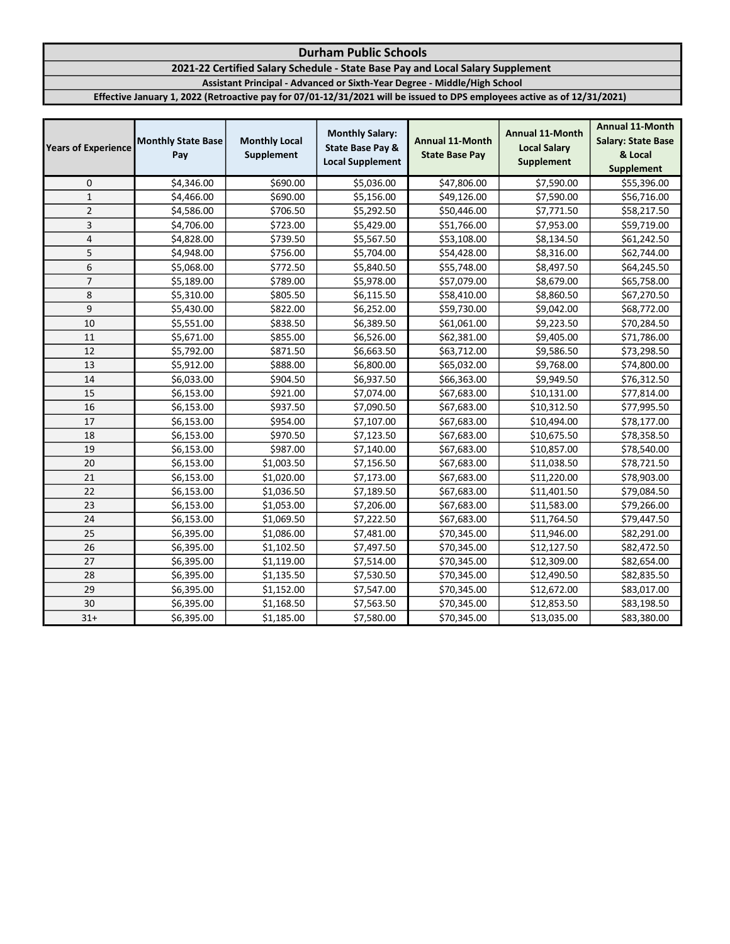### Durham Public Schools 2021-22 Certified Salary Schedule - State Base Pay and Local Salary Supplement Assistant Principal - Advanced or Sixth-Year Degree - Middle/High School Effective January 1, 2022 (Retroactive pay for 07/01-12/31/2021 will be issued to DPS employees active as of 12/31/2021)

| <b>Years of Experience</b> | <b>Monthly State Base</b><br>Pay | <b>Monthly Local</b><br>Supplement | <b>Monthly Salary:</b><br><b>State Base Pay &amp;</b><br><b>Local Supplement</b> | <b>Annual 11-Month</b><br><b>State Base Pay</b> | <b>Annual 11-Month</b><br><b>Local Salary</b><br><b>Supplement</b> | <b>Annual 11-Month</b><br><b>Salary: State Base</b><br>& Local<br><b>Supplement</b> |
|----------------------------|----------------------------------|------------------------------------|----------------------------------------------------------------------------------|-------------------------------------------------|--------------------------------------------------------------------|-------------------------------------------------------------------------------------|
| 0                          | \$4,346.00                       | \$690.00                           | \$5,036.00                                                                       | \$47,806.00                                     | \$7,590.00                                                         | \$55,396.00                                                                         |
| $\mathbf 1$                | \$4,466.00                       | \$690.00                           | \$5,156.00                                                                       | \$49,126.00                                     | \$7,590.00                                                         | \$56,716.00                                                                         |
| $\overline{2}$             | \$4,586.00                       | \$706.50                           | \$5,292.50                                                                       | \$50,446.00                                     | \$7,771.50                                                         | \$58,217.50                                                                         |
| 3                          | \$4,706.00                       | \$723.00                           | \$5,429.00                                                                       | \$51,766.00                                     | \$7,953.00                                                         | \$59,719.00                                                                         |
| 4                          | \$4,828.00                       | \$739.50                           | \$5,567.50                                                                       | \$53,108.00                                     | \$8,134.50                                                         | \$61,242.50                                                                         |
| 5                          | \$4,948.00                       | \$756.00                           | \$5,704.00                                                                       | \$54,428.00                                     | \$8,316.00                                                         | \$62,744.00                                                                         |
| 6                          | \$5,068.00                       | \$772.50                           | \$5,840.50                                                                       | \$55,748.00                                     | \$8,497.50                                                         | \$64,245.50                                                                         |
| $\overline{7}$             | \$5,189.00                       | \$789.00                           | \$5,978.00                                                                       | \$57,079.00                                     | \$8,679.00                                                         | \$65,758.00                                                                         |
| 8                          | \$5,310.00                       | \$805.50                           | \$6,115.50                                                                       | \$58,410.00                                     | \$8,860.50                                                         | \$67,270.50                                                                         |
| 9                          | \$5,430.00                       | \$822.00                           | \$6,252.00                                                                       | \$59,730.00                                     | \$9,042.00                                                         | \$68,772.00                                                                         |
| 10                         | \$5,551.00                       | \$838.50                           | \$6,389.50                                                                       | \$61,061.00                                     | \$9,223.50                                                         | \$70,284.50                                                                         |
| 11                         | \$5,671.00                       | \$855.00                           | \$6,526.00                                                                       | \$62,381.00                                     | \$9,405.00                                                         | \$71,786.00                                                                         |
| 12                         | \$5,792.00                       | \$871.50                           | \$6,663.50                                                                       | \$63,712.00                                     | \$9,586.50                                                         | \$73,298.50                                                                         |
| 13                         | \$5,912.00                       | \$888.00                           | \$6,800.00                                                                       | \$65,032.00                                     | \$9,768.00                                                         | \$74,800.00                                                                         |
| 14                         | \$6,033.00                       | \$904.50                           | \$6,937.50                                                                       | \$66,363.00                                     | \$9,949.50                                                         | \$76,312.50                                                                         |
| 15                         | \$6,153.00                       | \$921.00                           | \$7,074.00                                                                       | \$67,683.00                                     | \$10,131.00                                                        | \$77,814.00                                                                         |
| 16                         | \$6,153.00                       | \$937.50                           | \$7,090.50                                                                       | \$67,683.00                                     | \$10,312.50                                                        | \$77,995.50                                                                         |
| 17                         | \$6,153.00                       | \$954.00                           | \$7,107.00                                                                       | \$67,683.00                                     | \$10,494.00                                                        | \$78,177.00                                                                         |
| 18                         | \$6,153.00                       | \$970.50                           | \$7,123.50                                                                       | \$67,683.00                                     | \$10,675.50                                                        | \$78,358.50                                                                         |
| 19                         | \$6,153.00                       | \$987.00                           | \$7,140.00                                                                       | \$67,683.00                                     | \$10,857.00                                                        | \$78,540.00                                                                         |
| 20                         | \$6,153.00                       | \$1,003.50                         | \$7,156.50                                                                       | \$67,683.00                                     | \$11,038.50                                                        | \$78,721.50                                                                         |
| 21                         | \$6,153.00                       | \$1,020.00                         | \$7,173.00                                                                       | \$67,683.00                                     | \$11,220.00                                                        | \$78,903.00                                                                         |
| 22                         | \$6,153.00                       | \$1,036.50                         | \$7,189.50                                                                       | \$67,683.00                                     | \$11,401.50                                                        | \$79,084.50                                                                         |
| 23                         | \$6,153.00                       | \$1,053.00                         | \$7,206.00                                                                       | \$67,683.00                                     | \$11,583.00                                                        | \$79,266.00                                                                         |
| 24                         | \$6,153.00                       | \$1,069.50                         | \$7,222.50                                                                       | \$67,683.00                                     | \$11,764.50                                                        | \$79,447.50                                                                         |
| 25                         | \$6,395.00                       | \$1,086.00                         | \$7,481.00                                                                       | \$70,345.00                                     | \$11,946.00                                                        | \$82,291.00                                                                         |
| 26                         | \$6,395.00                       | \$1,102.50                         | \$7,497.50                                                                       | \$70,345.00                                     | \$12,127.50                                                        | \$82,472.50                                                                         |
| 27                         | \$6,395.00                       | \$1,119.00                         | \$7,514.00                                                                       | \$70,345.00                                     | \$12,309.00                                                        | \$82,654.00                                                                         |
| 28                         | \$6,395.00                       | \$1,135.50                         | \$7,530.50                                                                       | \$70,345.00                                     | \$12,490.50                                                        | \$82,835.50                                                                         |
| 29                         | \$6,395.00                       | \$1,152.00                         | \$7,547.00                                                                       | \$70,345.00                                     | \$12,672.00                                                        | \$83,017.00                                                                         |
| 30                         | \$6,395.00                       | \$1,168.50                         | \$7,563.50                                                                       | \$70,345.00                                     | \$12,853.50                                                        | \$83,198.50                                                                         |
| $31+$                      | \$6,395.00                       | \$1,185.00                         | \$7,580.00                                                                       | \$70,345.00                                     | \$13,035.00                                                        | \$83,380.00                                                                         |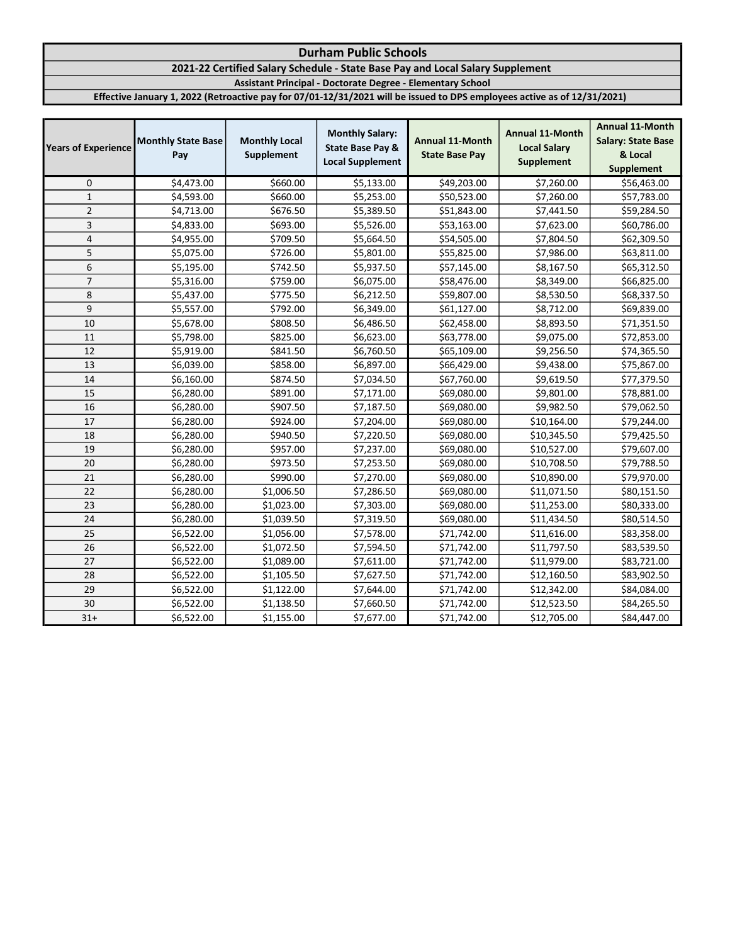# 2021-22 Certified Salary Schedule - State Base Pay and Local Salary Supplement

Assistant Principal - Doctorate Degree - Elementary School

| <b>Years of Experience</b> | <b>Monthly State Base</b><br>Pay | <b>Monthly Local</b><br>Supplement | <b>Monthly Salary:</b><br><b>State Base Pay &amp;</b><br><b>Local Supplement</b> | <b>Annual 11-Month</b><br><b>State Base Pay</b> | <b>Annual 11-Month</b><br><b>Local Salary</b><br><b>Supplement</b> | <b>Annual 11-Month</b><br><b>Salary: State Base</b><br>& Local<br><b>Supplement</b> |
|----------------------------|----------------------------------|------------------------------------|----------------------------------------------------------------------------------|-------------------------------------------------|--------------------------------------------------------------------|-------------------------------------------------------------------------------------|
| 0                          | \$4,473.00                       | \$660.00                           | \$5,133.00                                                                       | \$49,203.00                                     | \$7,260.00                                                         | \$56,463.00                                                                         |
| $\mathbf{1}$               | \$4,593.00                       | \$660.00                           | \$5,253.00                                                                       | \$50,523.00                                     | \$7,260.00                                                         | \$57,783.00                                                                         |
| $\overline{2}$             | \$4,713.00                       | \$676.50                           | \$5,389.50                                                                       | \$51,843.00                                     | \$7,441.50                                                         | \$59,284.50                                                                         |
| 3                          | \$4,833.00                       | \$693.00                           | \$5,526.00                                                                       | \$53,163.00                                     | \$7,623.00                                                         | \$60,786.00                                                                         |
| 4                          | \$4,955.00                       | \$709.50                           | \$5,664.50                                                                       | \$54,505.00                                     | \$7,804.50                                                         | \$62,309.50                                                                         |
| 5                          | \$5,075.00                       | \$726.00                           | \$5,801.00                                                                       | \$55,825.00                                     | \$7,986.00                                                         | \$63,811.00                                                                         |
| 6                          | \$5,195.00                       | \$742.50                           | \$5,937.50                                                                       | \$57,145.00                                     | \$8,167.50                                                         | \$65,312.50                                                                         |
| $\overline{7}$             | \$5,316.00                       | \$759.00                           | \$6,075.00                                                                       | \$58,476.00                                     | \$8,349.00                                                         | \$66,825.00                                                                         |
| 8                          | \$5,437.00                       | \$775.50                           | \$6,212.50                                                                       | \$59,807.00                                     | \$8,530.50                                                         | \$68,337.50                                                                         |
| 9                          | \$5,557.00                       | \$792.00                           | \$6,349.00                                                                       | \$61,127.00                                     | \$8,712.00                                                         | \$69,839.00                                                                         |
| 10                         | \$5,678.00                       | \$808.50                           | \$6,486.50                                                                       | \$62,458.00                                     | \$8,893.50                                                         | \$71,351.50                                                                         |
| 11                         | \$5,798.00                       | \$825.00                           | \$6,623.00                                                                       | \$63,778.00                                     | \$9,075.00                                                         | \$72,853.00                                                                         |
| 12                         | \$5,919.00                       | \$841.50                           | \$6,760.50                                                                       | \$65,109.00                                     | \$9,256.50                                                         | \$74,365.50                                                                         |
| 13                         | \$6,039.00                       | \$858.00                           | \$6,897.00                                                                       | \$66,429.00                                     | \$9,438.00                                                         | \$75,867.00                                                                         |
| 14                         | \$6,160.00                       | \$874.50                           | \$7,034.50                                                                       | \$67,760.00                                     | \$9,619.50                                                         | \$77,379.50                                                                         |
| 15                         | \$6,280.00                       | \$891.00                           | \$7,171.00                                                                       | \$69,080.00                                     | \$9,801.00                                                         | \$78,881.00                                                                         |
| 16                         | \$6,280.00                       | \$907.50                           | \$7,187.50                                                                       | \$69,080.00                                     | \$9,982.50                                                         | \$79,062.50                                                                         |
| 17                         | \$6,280.00                       | \$924.00                           | \$7,204.00                                                                       | \$69,080.00                                     | \$10,164.00                                                        | \$79,244.00                                                                         |
| 18                         | \$6,280.00                       | \$940.50                           | \$7,220.50                                                                       | \$69,080.00                                     | \$10,345.50                                                        | \$79,425.50                                                                         |
| 19                         | \$6,280.00                       | \$957.00                           | \$7,237.00                                                                       | \$69,080.00                                     | \$10,527.00                                                        | \$79,607.00                                                                         |
| 20                         | \$6,280.00                       | \$973.50                           | \$7,253.50                                                                       | \$69,080.00                                     | \$10,708.50                                                        | \$79,788.50                                                                         |
| 21                         | \$6,280.00                       | \$990.00                           | \$7,270.00                                                                       | \$69,080.00                                     | \$10,890.00                                                        | \$79,970.00                                                                         |
| 22                         | \$6,280.00                       | \$1,006.50                         | \$7,286.50                                                                       | \$69,080.00                                     | \$11,071.50                                                        | \$80,151.50                                                                         |
| 23                         | \$6,280.00                       | \$1,023.00                         | \$7,303.00                                                                       | \$69,080.00                                     | \$11,253.00                                                        | \$80,333.00                                                                         |
| 24                         | \$6,280.00                       | \$1,039.50                         | \$7,319.50                                                                       | \$69,080.00                                     | \$11,434.50                                                        | \$80,514.50                                                                         |
| 25                         | \$6,522.00                       | \$1,056.00                         | \$7,578.00                                                                       | \$71,742.00                                     | \$11,616.00                                                        | \$83,358.00                                                                         |
| 26                         | \$6,522.00                       | \$1,072.50                         | \$7,594.50                                                                       | \$71,742.00                                     | \$11,797.50                                                        | \$83,539.50                                                                         |
| 27                         | \$6,522.00                       | \$1,089.00                         | \$7,611.00                                                                       | \$71,742.00                                     | \$11,979.00                                                        | \$83,721.00                                                                         |
| 28                         | \$6,522.00                       | \$1,105.50                         | \$7,627.50                                                                       | \$71,742.00                                     | \$12,160.50                                                        | \$83,902.50                                                                         |
| 29                         | \$6,522.00                       | \$1,122.00                         | \$7,644.00                                                                       | \$71,742.00                                     | \$12,342.00                                                        | \$84,084.00                                                                         |
| 30                         | \$6,522.00                       | \$1,138.50                         | \$7,660.50                                                                       | \$71,742.00                                     | \$12,523.50                                                        | \$84,265.50                                                                         |
| $31+$                      | \$6,522.00                       | \$1,155.00                         | \$7,677.00                                                                       | \$71,742.00                                     | \$12,705.00                                                        | \$84,447.00                                                                         |